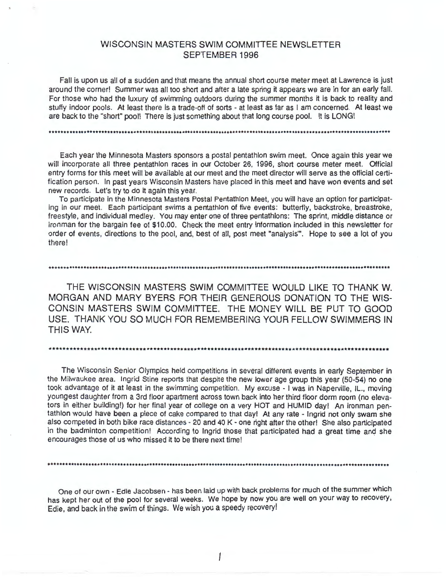# WISCONSIN MASTERS SWIM COMMITTEE NEWSLETTER SEPTEMBER 1996

Fall is upon us all of a sudden and that means the annual short course meter meet at Lawrence is just around the corner! Summer was all too short and after a late spring it appears we are in for an early fall. For those who had the luxury of swimming outdoors during the summer months it is back to reality and stuffy indoor pools. At least there is a trade-off of sorts - at least as far as I am concerned. At least we are back to the "short" pool! There is just something about that long course pool. It is LONG!

Each year the Minnesota Masters sponsors a postal pentathlon swim meet. Once again this year we will incorporate all three pentathlon races in our October 26, 1996, short course meter meet. Official entry forms for this meet will be available at our meet and the meet director will serve as the official certification person. In past years Wisconsin Masters have placed in this meet and have won events and set new records. Let's try to do it again this year.

To participate in the Minnesota Masters Postal Pentathlon Meet, you will have an option for participating in our meet. Each participant swims a pentathlon of five events: buttertly, backstroke, breastroke, freestyle, and individual medley. You may enter one of three pentathlons: The sprint, middle distance or iron man for the bargain fee of \$10.00. Check the meet entry information included in this newsletter for order of events, directions to the pool, and, best of all, post meet "analysis"'. Hope to see a lot of you there!

••••••••••••••••••••••••••••••••••••••••••••••••••••••••••••••••••••••••••••••••••••••••••••••••••••••••••••••••••••••• THE WISCONSIN MASTERS SWIM COMMITTEE WOULD LIKE TO THANK W. MORGAN AND MARY BYERS FOR THEIR GENEROUS DONATION TO THE WIS-CONSIN MASTERS SWIM COMMITTEE. THE MONEY WILL BE PUT TO GOOD USE. THANK YOU SO MUCH FOR REMEMBERING YOUR FELLOW SWIMMERS IN

\*\*\*\*\*\*\*\*\*\*\*\*\*\*\*\*\*\*\*\*\*\*\*\*\*\*\*\*\*\*\*\*\*\*\*\*\*\*\*\*\*\*\*\*\*\*\*\*\*\*\*\*\*\*\*\*\*\*\*\*\*\*\*\*\*\*\*\*\*\*\*\*\*\*\*\*\*\*\*\*\*\*\*\*\*\*\*\*\*\*\*\*\*\*\*\*\*\*\*

THIS WAY.

The Wisconsin Senior Olympics held competitions in several different events in early September in the Milwaukee area. Ingrid Stine reports that despite the new lower age group this year (50-54) no one took advantage of it at least in the swimming competition. My excuse - I was in Naperville, IL., moving youngest daughter from a 3rd floor apartment across town back into her third floor dorm room (no elevators in either building!) for her final year of college on a very HOT and HUMID day! An ironman pentathlon would have been a piece of cake compared to that day! At any rate - Ingrid not only swam she also competed in both bike race distances - 20 and 40 K - one right after the other! She also participated in the badminton competition! According to Ingrid those that participated had a great time and she encourages those of us who missed it to be there next time!

One of our own - Edie Jacobsen - has been laid up with back problems for much of the summer which has kept her out of the pool for several weeks. We hope by now you are well on your way to recovery, Edie, and back in the swim of things. We wish you a speedy recovery!

•••••••••••••••••••••••••••••••••••••••••••••••••••••••••••••••••••••••••••••••••••••••••••••••••••••••••••••••••••••••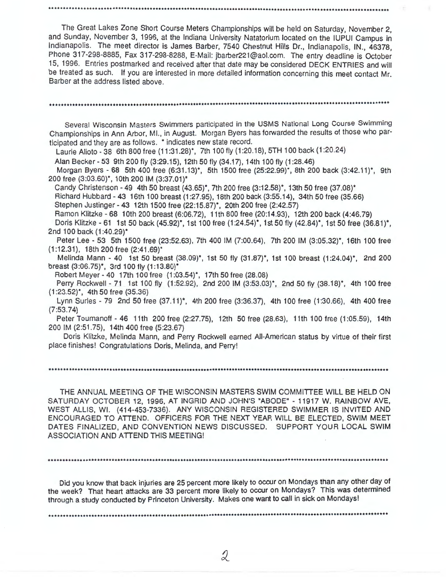The Great Lakes Zone Short Course Meters Championships will be held on Saturday, November 2, and Sunday, November 3, 1996, at the Indiana University Natatorium located on the IUPUI Campus in Indianapolis. The meet director is James Barber, 7540 Chestnut Hills Dr., Indianapolis, IN., 46378. Phone 317-298-8885, Fax 317-298-8288, E-Mail: jbarber221@aol.com. The entry deadline is October 15, 1996. Entries postmarked and received after that date may be considered DECK ENTRIES and will be treated as such. If you are interested in more detailed information concerning this meet contact **Mr.**  Barber at the address listed above .

.........•......................................................................•................•••.•..........•••••..

Several Wisconsin Masters Swimmers participated in the USMS National Long Course Swimming Championships in Ann Arbor, Ml., in August. Morgan Byers has forwarded the results of those who participated and they are as follows. \* indicates new state record.

•••••••••••••••••••••••••••••••••••••••••••••••••••••••••••••••••••••••••••••••••••••••••••••••••••••••••••••••••••••••

Laurie Alioto - 38 6th 800 free (11 :31.28)\*, 7th 100 fly (1 :20.18), 5TH 100 back (1 :20.24)

Alan Becker- 53 9th 200 fly (3:29.15), 12th 50 fly (34.17), 14th 100 fly (1 :28.46)

Morgan Byers - 68 5th 400 free (6:31.13)\*, 5th 1500 free (25:22.99)\*, 8th 200 back (3:42.11)\*, 9th 200 free (3:03.60)\*, 10th 200 IM (3:37.01)\*

Candy Christenson - 49 4th 50 breast (43.65)\*, 7th 200 free (3:12.58)\*, 13th 50 free (37.08)\* Richard Hubbard - 43 16th 100 breast (1 :27.95), 18th 200 back (3:55.14), 34th 50 free (35.66) Stephen Justinger - 43 12th 1500 free (22:15.87)\*, 20th 200 free (2:42.57)

Ramon Klitzke - 68 10th 200 breast (6:06.72), 11th 800 free (20:14.93), 12th 200 back (4:46.79)

Doris Klitzke - 61 1st 50 back (45.92)\*, 1st 100 free (1 :24.54)\*, 1st 50 fly (42.84)\*, 1st 50 free (36.81)\*, 2nd 100 back (1:40.29)\*

Peter Lee - 53 5th 1500 free (23:52.63), 7th 400 IM (7:00.64), 7th 200 IM (3 :05.32)\*, 16th 100 free (1:12.31), 18th 200 free (2:41.69)\*

Melinda Mann - 40 1st 50 breast (38.09)\*, 1st 50 fly (31.87)\*, 1st 100 breast (1:24.04)\*, 2nd 200 breast (3:06.75)\*, 3rd 100 fly (1:13.80)\*

Robert Meyer - 40 17th 100 free (1 :03.54)\*, 17th 50 free (28.08)

Perry Rockwell - 71 1st 100 fly (1:52.92), 2nd 200 IM (3:53.03)\*, 2nd 50 fly (38.18)\*, 4th 100 free (1 :23.52)\*, 4th 50 free (35.36)

Lynn Surles - 79 2nd 50 free (37.11)\*, 4th 200 free (3:36.37), 4th 100 free (1:30.66), 4th 400 free (7:53.74)

Peter Toumanoff - 46 11th 200 free (2:27.75), 12th 50 free (28.63), 11th 100 free (1 :05.59), 14th 200 IM (2:51.75), 14th 400 free (5:23.67)

Doris Klitzke, Melinda Mann, and Perry Rockwell earned All-American status by virtue of their first place finishes! Congratulations Doris, Melinda, and Perry!

.......................................................................................................................

THE ANNUAL MEETING OF THE WISCONSIN MASTERS SWIM COMMITTEE WILL BE HELD ON SATURDAY OCTOBER 12, 1996, AT INGRID AND JOHN'S "ABODE" - 11917 W. RAINBOW AVE, WEST ALLIS, WI. (414-453-7336). ANY WISCONSIN REGISTERED SWIMMER IS INVITED AND ENCOURAGED TO ATTEND. OFFICERS FOR THE NEXT YEAR WILL BE ELECTED, SWIM MEET DATES FINALIZED, AND CONVENTION NEWS DISCUSSED. SUPPORT YQUR LOCAL **SWIM**  ASSOCIATION AND ATTEND THIS MEETING!

......................................................................................................................•

Did you know that back injuries are 25 percent more likely to occur on Mondays than any other day of the week? That heart attacks are 33 percent more likely to occur on Mondays? This was determined through a study conducted by Princeton University. Makes one want to call in sick on Mondays!

.......•..•.•.••......•...•••....................•••..............•......•.....•.•.•....•••....•...••.•••••••••••••••••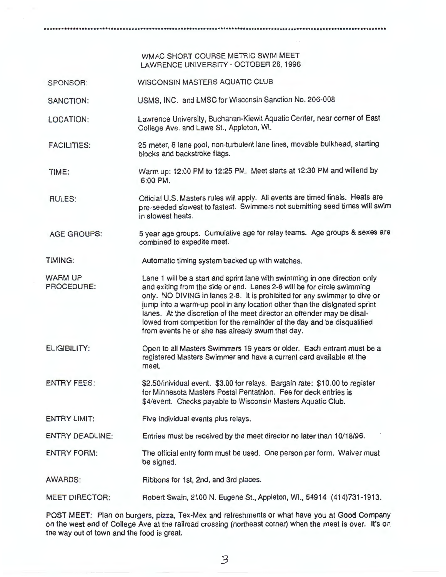...............................................................................................•.......................

# WMAC SHORT COURSE METRIC SWIM MEET LAWRENCE UNIVERSITY - OCTOBER 26, 1996

SPONSOR: WISCONSIN MASTERS AQUATIC CLUB

SANCTION: USMS, INC. and LMSC for Wisconsin Sanction No. 206-008

LOCATION: Lawrence University, Buchanan-Kiewit Aquatic Center, near corner of East College Ave. and Lawe St., Appleton, WI.

FACILITIES: 25 meter, 8 lane pool, non-turbulent lane lines, movable bulkhead, starting blocks and backstroke flags.

TIME: Warm up: 12:00 PM to 12:25 PM. Meet starts at 12:30 PM and willend by 6:00 PM.

RULES: Official U.S. Masters rules will apply. All events are timed finals. Heats are pre-seeded slowest to fastest. Swimmers not submitting seed times will swim in slowest heats.

AGE GROUPS: 5 year age groups. Cumulative age for relay teams. Age groups & sexes are combined to expedite meet.

TIMING: Automatic timing system backed up with watches.

WARM UP PROCEDURE: Lane 1 will be a start and sprint lane with swimming in one direction only and exiting from the side or end. Lanes 2-8 will be for circle swimming only. NO DIVING in lanes 2-8. It is prohibited for any swimmer to dive or jump into a warm-up pool in any location other than the disignated sprint lanes. At the discretion of the meet director an offender may be disallowed from competition for the remainder of the day and be disqualified from events he or she has already swum that day.

ELIGIBILITY: Open to all Masters Swimmers 19 years or older. Each entrant must be a registered Masters Swimmer and have a current card available at the meet.

ENTRY FEES: \$2.50/inividual event. \$3.00 for relays. Bargain rate: \$10.00 to register for Minnesota Masters Postal Pentathlon. Fee for deck entries is \$4/event. Checks payable to Wisconsin Masters Aquatic Club.

ENTRY LIMIT: Five individual events plus relays.

ENTRY DEADLINE: Entries must be received by the meet director no later than 10/18/96.

ENTRY FORM: The official entry form must be used. One person per form. Waiver must be signed.

AWARDS: Ribbons for 1st, 2nd, and 3rd places.

MEET DIRECTOR: Robert Swain, 2100 N. Eugene St., Appleton, WI., 54914 (414)731-1913.

POST MEET: Plan on burgers, pizza, Tex-Mex and refreshments or what have you at Good Company on the west end of College Ave at the railroad crossing (northeast corner) when the meet is over. It's on the way out of town and the food is great.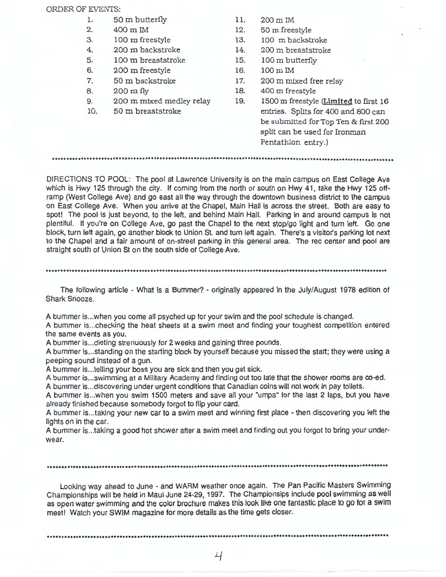### ORDER OF EVENTS:

- 1. 50 m butterfly
- 2. 400 m IM
- 3. 100 m freestyle
- 4 . 200 m backstroke
- 5. 100 m breaststroke
- 6. 200 m freestyle
- 7. 50 m backstroke
- 8. 200 m fly
- 9. 200 m mixed medley relay
- 10. 50 m breaststroke
- 11. 200 m IM
- 12. 50 m freestyle
- 13. 100 m backstroke
- 14. 200 m breaststroke
- 15. 100 m butterfly
- 16. 100 m IM
- 17. 200 m mixed free relay
- 18. 400 m freestyle
- 19. 1500 m freestyle (Limited to first 16 entries. Splits for 400 and 800 can be submitted for Top Ten & first 200 split can be used for Ironman Pentathlon entry.)

DIRECTIONS TO POOL: The pool at Lawrence University is on the main campus on East College Ave which is Hwy 125 through the city. If coming from the north or south on Hwy 41, take the Hwy 125 offramp (West College Ave) and go east all the way through the downtown business district to the campus on East College Ave. When you arrive at the Chapel, Main Hall is across the street. Both are easy to spot! The pool is just beyond, to the left, and behind Main Hall. Parking in and around campus is not plentiful. If you're on College Ave, go past the Chapel to the next stop/go light and turn left. Go one block, turn left again, go another block to Union St. and turn left again. There's a visitor's parking lot next to the Chapel and a fair amount of on-street parking in this general area. The rec center and pool are straight south of Union St on the south side of College Ave.

# 

The following article - What is a Bummer? - originally appeared in the July/August 1978 edition of Shark Snooze.

A bummer is ... when you come all psyched up for your swim and the pool schedule is changed.

A bummer is ... checking the heat sheets at a swim meet and finding your toughest competition entered the same events as you.

A bummer is ... dieting strenuously for 2 weeks and gaining three pounds.

A bummer is ... standing on the starting block by yourself because you missed the start; they were using a peeping sound instead of a gun.

A bummer is ... telling your boss you are sick and then you get sick.

A bummer is ... swimming at a Military Academy and finding out too late that the shower rooms are co-ed. A bummer is ... discovering under urgent conditions that Canadian coins will not work in pay toilets.

A bummer is .. . when you swim 1500 meters and save all your "umpa" for the last 2 laps, but you have already finished because somebody forgot to flip your card.

A bummer is ... taking your new car to a swim meet and winning first place - then discovering you left the lights on in the car.

A bummer is ... taking a good hot shower after a swim meet and finding out you forgot to bring your underwear.

# 

Looking way ahead to June - and WARM weather once again. The Pan Pacific Masters Swimming Championships will be held in Maui June 24-29, 1997. The Championsips include pool swimming as well as open water swimming and the color brochure makes this look like one fantastic place to go for a swim meet! Watch your SWIM magazine for more details as the time gets closer.

•••••••••••••••••••••••••••••••••••••••••••••••••••••••••••••••••••••••••••••••••••••••••••••••••••••••••••••••••••••••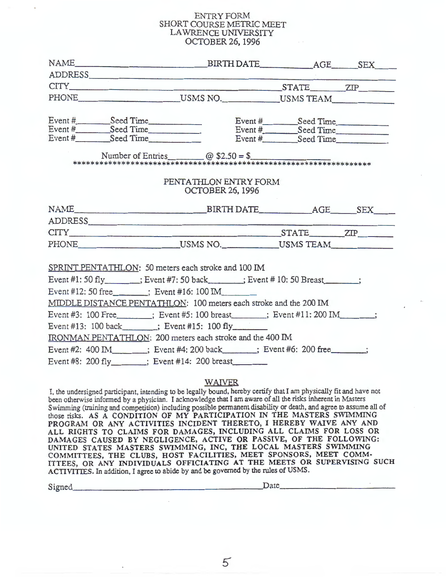## ENTRY FORM SHORT COURSE METRIC MEET LAWRENCE UNIVERSITY OCTOBER 26, 1996

| NAME BIRTH DATE BIRTH DATE  AGE  SEX                                                                                                                                                                                           |                         |  |
|--------------------------------------------------------------------------------------------------------------------------------------------------------------------------------------------------------------------------------|-------------------------|--|
|                                                                                                                                                                                                                                |                         |  |
| CITY STATE ZIP                                                                                                                                                                                                                 |                         |  |
| PHONE USMS NO. USMS TEAM                                                                                                                                                                                                       |                         |  |
|                                                                                                                                                                                                                                |                         |  |
|                                                                                                                                                                                                                                |                         |  |
| Event # Seed Time Seed Time Seed Time Seed Time Seed Time Seed Time Seed Time Seed Time Seed Time Seed Time Seed Time Seed Time Seed Time Seed Time Seed Time Seed Time Seed Time Seed Time Seed Time Seed Time Seed Time Seed |                         |  |
|                                                                                                                                                                                                                                |                         |  |
|                                                                                                                                                                                                                                |                         |  |
|                                                                                                                                                                                                                                |                         |  |
|                                                                                                                                                                                                                                | PENTATHLON ENTRY FORM   |  |
|                                                                                                                                                                                                                                | <b>OCTOBER 26, 1996</b> |  |
|                                                                                                                                                                                                                                |                         |  |
| NAME BIRTH DATE AGE SEX                                                                                                                                                                                                        |                         |  |
|                                                                                                                                                                                                                                |                         |  |
| CITY ZIP ZIP                                                                                                                                                                                                                   |                         |  |
| PHONE USMS NO. USMS TEAM                                                                                                                                                                                                       |                         |  |
|                                                                                                                                                                                                                                |                         |  |
| SPRINT PENTATHLON: 50 meters each stroke and 100 IM                                                                                                                                                                            |                         |  |
| Event #1: 50 fly : Event #7: 50 back : Event # 10: 50 Breast ;                                                                                                                                                                 |                         |  |
| Event #12: 50 free ______; Event #16: 100 IM                                                                                                                                                                                   |                         |  |
| MIDDLE DISTANCE PENTATHLON: 100 meters each stroke and the 200 IM                                                                                                                                                              |                         |  |
| Event #3: 100 Free ______; Event #5: 100 breast _____; Event #11: 200 IM _____;                                                                                                                                                |                         |  |
| Event #13: 100 back_______; Event #15: 100 fly________                                                                                                                                                                         |                         |  |
| IRONMAN PENTATHLON: 200 meters each stroke and the 400 IM                                                                                                                                                                      |                         |  |
| Event #2: 400 IM ; Event #4: 200 back ; Event #6: 200 free ;                                                                                                                                                                   |                         |  |
| Event #8: 200 fly_______; Event #14: 200 breast________                                                                                                                                                                        |                         |  |
|                                                                                                                                                                                                                                |                         |  |

# WAIVER

I, the undersigned participant, intending to be legally bound, hereby certify that I am physically fit and have not been otherwise informed by a physician. I acknowledge that I am aware of all the risks inherent in Masters Swimming (training and competition) including possible permanent disability or death, and agree to assume all of those risks. **AS A CONDITION OF MY PARTICIPATION IN THE MASTERS SWIMMING PROGRAM OR ANY ACTIVITIES INCIDENT THERETO,** I **HEREBY WAIVE ANY AND ALL RIGHTS** TO **CLAIMS FOR DAMAGES, INCLUDING ALL CLAIMS FOR LOSS OR DAMAGES CAUSED BY NEGLIGENCE, ACTIVE OR PASSIVE, OF THE FOLLOWING:**  UNITED STATES MASTERS SWIMMING, INC, THE LOCAL MASTERS SWIMMING **COMMITTEES, THE CLUBS, HOST FACILITIES, MEET SPONSORS, MEET COMM-**ITTEES, OR ANY INDIVIDUALS OFFICIATING AT THE MEETS OR SUPERVISING SUCH

ACTIVITIES. In addition, I agree to abide by and be governed by the rules of USMS. Signed \_\_\_\_\_\_\_\_\_\_\_\_\_\_\_\_\_\_\_ .Date \_\_\_\_\_\_\_\_\_\_ \_

 $\overline{5}$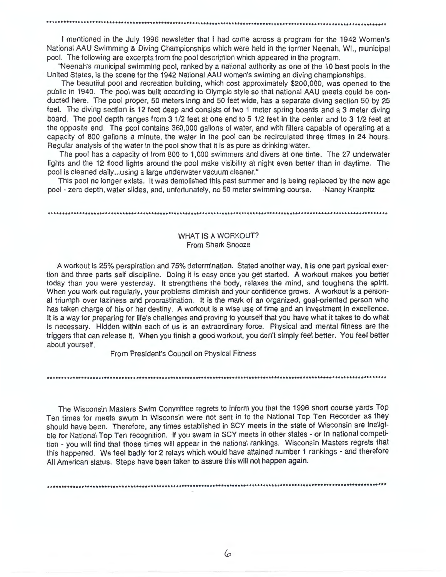I mentioned in the July 1996 newsletter that I had come across a program for the 1942 Women's National AAU Swimming & Diving Championships which were held in the former Neenah, WI., municipal pool. The following are excerpts from the pool description which appeared in the program.

"Neenah's municipal swimming pool, ranked by a national authority as one of the 1 O best pools in the United States, is the scene for the 1942 National AAU women's swiming an diving championships.

The beautiful pool and recreation building, which cost approximately \$200,000, was opened to the public in 1940. The pool was built according to Olympic style so that national AAU meets could be conducted here. The pool proper, 50 meters long and 50 feet wide, has a separate diving section 50 by 25 feet. The diving section is 12 feet deep and consists of two 1 meter spring boards and a 3 meter diving board. The pool depth ranges from 3 1/2 feet at one end to 5 1/2 feet in the center and to 3 1/2 feet at the opposite end. The pool contains 360,000 gallons of water, and with filters capable of operating at a capacity of 800 gallons a minute, the water in the pool can be recirculated three times in 24 hours. Regular analysis of the water in the pool show that it is as pure as drinking water.

The pool has a capacity of from 800 to 1,000 swimmers and divers at one time . The 27 underwater lights and the 12 flood lights around the pool make visibility at night even better than in daytime. The pool is cleaned daily ... using a large underwater vacuum cleaner."

This pool no longer exists. It was demolished this past summer and is being replaced by the new age pool - zero depth, water slides, and, unfortunately, no 50 meter swimming course. -Nancy Kranpitz

.........................................................................................•.............................

# WHAT IS A WORKOUT? From Shark Snooze

A workout is 25% perspiration and 75% determination. Stated another way, it is one part pysical exertion and three parts self discipline. Doing it is easy once you get started. A workout makes you better today than you were yesterday. It strengthens the body, relaxes the mind, and toughens the spirit. When you work out regularly, your problems diminish and your confidence grows. A workout is a personal triumph over laziness and procrastination. It is the mark of an organized, goal-oriented person who has taken charge of his or her destiny. A workout is a wise use of time and an investment in excellence. It is a way for preparing for life's challenges and proving to yoursett that you have what it takes to do what is necessary. Hidden within each of us is an extraordinary force. Physical and mental fitness are the triggers that can release it. When you finish a good workout, you don't simply feel better. You feel better about yourself.

From President's Council on Physical Fitness

The Wisconsin Masters Swim Committee regrets to inform you that the 1996 short course yards Top Ten times for meets swum in Wisconsin were not sent in to the National Top Ten Recorder as they should have been. Therefore, any times established in SCY meets in the state of Wisconsin are ineligible for National Top Ten recognition. If you swam in SCY meets in other states - or in national competition - you will find that those times will appear in the national rankings. Wisconsin Masters regrets that this happened. We feel badly for 2 relays which would have attained number 1 rankings - and therefore All American status. Steps have been taken to assure this will not happen again.

...................................•.......•...•..••••••••......••••••••••.•.•.••..••.•.•......••••••.•••.•••.•••••••••

..............................................................................•..........•••..................•...••...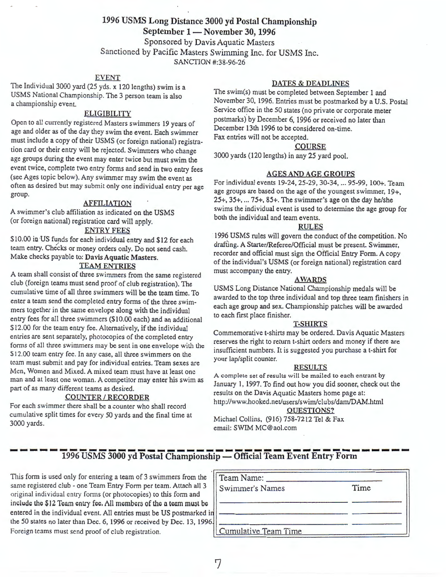# 1996 USMS Long Distance 3000 yd Postal Championship September 1 - November 30, 1996 Sponsored by Davis Aquatic Masters Sanctioned by Pacific Masters Swimming Inc. for USMS Inc. SANCTION #:38-96-26

## EVENT

The Individual 3000 yard (25 yds. x 120 lengths) swim is a USMS National Championship. The 3 person team is also a championship event.

# ELIGIBILITY

Open to all currently registered Masters swimmers 19 years of age and older as of the day they swim the event. Each swimmer must include a copy of their USMS (or foreign national) registration card or their entry will be rejected. Swimmers who change age groups during the event may enter twice but must swim the event twice, complete two entry forms and send in two entry fees (see Ages topic below). Any swimmer may swim the event as often as desired but may submit only one individual entry per age group.

### **AFFILIATION**

A swimmer's club affiliation as indicated on the USMS (or foreign national) registration card will apply.

# ENTRY FEES

\$10.00 in US funds for each individual entry and \$12 for each team entry. Checks or money orders only. Do not send cash. Make checks payable to: Davis Aquatic Masters.

# **TEAM ENTRIES**

A team shall consist of three swimmers from the same registered club (foreign teams must send proof of club registration). The cumulative time of all three swimmers will be the team time. To enter a team send the completed entry forms of the three swimmers together in the same envelope along with the individual entry fees for all three swimmers (\$10.00 each) and an additional \$12.00 for the team entry fee. Alternatively, if the individual entries are sent separately, photocopies of the completed entry forms of all three swimmers may be sent in one envelope with the \$12.00 team entry fee. In any case, all three swimmers on the team must submit and pay for individual entries. Team sexes are Men, Women and Mixed. A mixed team must have at least one man and at least one woman. A competitor may enter his swim as part of as many different teams as desired.

### **COUNTER/RECORDER**

For each swimmer there shall be a counter who shall record cumulative split times for every 50 yards and the final time at 3000 yards.

### **DATES** & **DEADLINES**

The swim(s) must be completed between September 1 and November 30, 1996. Entries must be postmarked by a U.S. Postal Service office in the 50 states (no private or corporate meter postmarks) by December 6, 1996 or received no later than December 13th 1996 to be considered on-time. Fax entries will not be accepted.

#### **COURSE**

3000 yards (120 lengths) in any 25 yard pool.

### **AGES AND AGE GROUPS**

For individual events 19-24, 25-29, 30-34, ... 95-99, 100+. Team age groups are based on the age of the youngest swimmer, 19+, 25+, 35+, ... 75+, 85+. The swimmer's age on the day he/she swims the individual event is used to determine the age group for both the individual and team events.

#### **RULES**

1996 USMS rules will govern the conduct of the competition. No drafting. A Starter/Referee/Official must be present. Swimmer, recorder and official must sign the Official Entry Form. A copy of the individual's USMS (or foreign national) registration card must accompany the entry.

#### **AWARDS**

USMS Long Distance National Championship medals will be awarded to the top three individual and top three team finishers in each age group and sex. Championship patches will be awarded to each first place finisher.

#### **T-SHIRTS**

Commemorative t-shirts may be ordered. Davis Aquatic Masters reserves the right to return t-shirt orders and money if there are insufficient numbers. It is suggested you purchase a t-shirt for your lap/split counter.

#### **RESULTS**

**A** complete set of results will be mailed to each entrant by January 1, 1997. To find out how you did sooner, check out the results on the Davis Aquatic Masters home page at: http://www.hooked.net/users/swirn/clubs/darn/DAM.html

#### QUESTIONS?

Michael Collins, (916) 758-7212 Tel & Fax email: SWIM MC@aol.com

# 1996 USMS 3000 yd Postal Championship — Official Team Event Entry Form

This form is used only for entering a team of 3 swimmers from the same registered club - one Team Entry Form per team. Attach all 3 original individual entry forms (or photocopies) to this form and include the \$12 Team entry fee, All members of the a team must be entered in the individual event. All entries must be US postmarked i the 50 states no later than Dec. 6, 1996 or received by Dec. 13, 1996 Foreign teams must send proof of club registration.

| Team Name:                  |      |
|-----------------------------|------|
| Swimmer's Names             | Time |
|                             |      |
| <b>Cumulative Team Time</b> |      |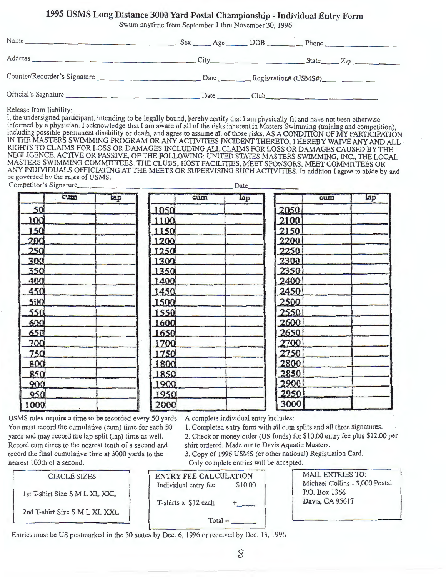# 1995 USMS Long Distance 3000 Yard Postal Championship - Individual Entry Form

Swum anytime from September 1 thru November 30, 1996

|                      |                                                |      | City State Zip |
|----------------------|------------------------------------------------|------|----------------|
|                      |                                                |      |                |
| Official's Signature | $Date$ <sub><math>\qquad</math></sub> $\qquad$ | Club |                |

Release from liability:

I, the undersigned participant, intending to be legally bound, hereby certify that I am physically fit and have not been otherwise informed by a physician. I acknowledge that I am aware of all of the risks inherent in Masters Swimming (training and competition), including possible permanent disability or death, and agree to assume all of those risks. AS A CONDITION OF MY PARTICIPATION IN THE MASTERS SWIMMING PROGRAM OR ANY ACTIVITIES INCIDENT THERETO, I HEREBY WAIVE ANY AND ALL · RIGHTS TO CLAIMS FOR LOSS OR DAMAGES INCLUDING ALL CLAIMS FOR LOSS OR DAMAGES CAUSED BY THE NEGLIGENCE, ACTIVE OR PASSIVE, OF THE FOLLOWING: UNITED STATES MASTERS SWIMMING, INC., THE LOCAL MASTERS SWIMMING COMMITTEES, THE CLUBS, HOST FACILITIES, MEET SPONSORS, MEET COMMITTEES OR ANY INDIVIDUALS OFFICIATING AT THE MEETS OR SUPERVISING SUCH ACTIVITIES. In addition I agree to abide by and be governed by the rules of USMS. Competitor's Signature \_\_\_\_\_\_\_\_\_\_\_\_\_\_\_\_\_\_ Date \_\_\_\_\_ \_

|      | cum | tap |      | cum | Lap |      | cum | lap |
|------|-----|-----|------|-----|-----|------|-----|-----|
| 50   |     |     | 1050 |     |     | 2050 |     |     |
| 100  |     |     | 1100 |     |     | 2100 |     |     |
| 150  |     |     | 1150 |     |     | 2150 |     |     |
| 200  |     |     | 1200 |     |     | 2200 |     |     |
| 250  |     |     | 1250 |     |     | 2250 |     |     |
| 300  |     |     | 1300 |     |     | 2300 |     |     |
| 350  |     |     | 1350 |     |     | 2350 |     |     |
| 400  |     |     | 1400 |     |     | 2400 |     |     |
| 450  |     |     | 1450 |     |     | 2450 |     |     |
| 500  |     |     | 1500 |     |     | 2500 |     |     |
| 550  |     |     | 1550 |     |     | 2550 |     |     |
| 600  |     |     | 1600 |     |     | 2600 |     |     |
| 650  |     |     | 1650 |     |     | 2650 |     |     |
| 700  |     |     | 1700 |     |     | 2700 |     |     |
| 750  |     |     | 1750 |     |     | 2750 |     |     |
| 800  |     |     | 1800 |     |     | 2800 |     |     |
| 850  |     |     | 1850 |     |     | 2850 |     |     |
| 900  |     |     | 1900 |     |     | 2900 |     |     |
| 950  |     |     | 1950 |     |     | 2950 |     |     |
| 1000 |     |     | 2000 |     |     | 3000 |     |     |

USMS rules require a time to be recorded every 50 yards. You must record the cumulative (cum) time for each 50 yards and may record the lap split (lap) time as well. Record cum times to the nearest tenth of a second and record the final cumulative time at 3000 yards to the nearest 100th of a second.

A complete individual entry includes:

l. Completed entry form with all cum splits and all three signatures.

2. Check or money order (US funds) for\$ 10.00 entry fee plus \$12.00 per shirt ordered. Made out to Davis Aquatic Masters.

3. Copy of 1996 USMS ( or other national) Registration Card. Only complete entries will be accepted.<br>
FE CALCULATION MAIL ENTRIES TO:

| <b>CIRCLE SIZES</b>           |  |
|-------------------------------|--|
| 1st T-shirt Size S M L XL XXL |  |
| 2nd T-shirt Size S M L XL XXL |  |

ENTRY FEE CALCULATION Individual entry fee \$10.00 T-shirts  $x \text{ } $12 \text{ each}$ 

 $Total =$ 

Michael Collins - 3,000 Postal P.O. Box 1366 Davis, CA 95617

Entries must be US postmarked in the 50 states by Dec. 6, 1996 or received by Dec. 13, 1996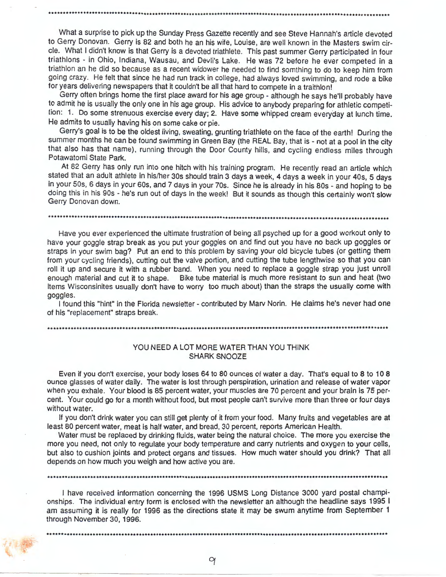What a surprise to pick up the Sunday Press Gazette recently and see Steve Hannah's article devoted to Gerry Donovan. Gerry is 82 and both he an his wife, Louise, are well known in the Masters swim circle. What I didn't know is that Gerry is a devoted triathlete. This past summer Gerry participated in four triathlons - in Ohio, Indiana, Wausau, and Devli's Lake. He was 72 before he ever competed in a triathlon an he did so because as a recent widower he needed to find somthing to do to keep him from going crazy. He felt that since he had run track in college, had always loved swimming, and rode a bike for years delivering newspapers that it couldn't be all that hard to compete in a traithlon!

Gerry often brings home the first place award for his age group - although he says he'll probably have to admit he is usually the only one in his age group. His advice to anybody preparing for athletic competition: 1. Do some strenuous exercise every day; 2. Have some whipped cream everyday at lunch time. He admits to usually having his on some cake or pie.

Gerry's goal is to be the oldest living, sweating, grunting triathlete on the face of the earth! During the summer months he can be found swimming in Green Bay (the REAL Bay, that is - not at a pool in the city that also has that name), running through the Door County hills, and cycling endless miles through Potawatomi State Park.

At 82 Gerry has only run into one hitch with his training program. He recently read an article which stated that an adult athlete in his/her 30s should train 3 days a week, 4 days a week in your 40s, 5 days in your 50s, 6 days in your 60s, and 7 days in your 70s. Since he is already in his 80s - and hoping to be doing this in his 90s - he's run out of days in the week! But it sounds as though this certainly won't slow Gerry Donovan down.

•.....•••....••••....••.•..••..•......•....•••.....•.•.••.....•••••....•••••..•.•.....••.....••••••............•.•.....

Have you ever experienced the ultimate frustration of being all psyched up for a good workout only to have your goggle strap break as you put your goggles on and find out you have no back up goggles or straps in your swim bag? Put an end to this problem by saving your old bicycle tubes (or getting them from your cycling friends), cutting out the valve portion, and cutting the tube lengthwise so that you can roll it up and secure it with a rubber band. When you need to replace a goggle strap you just unroll enough material and cut it to shape. Bike tube material is much more resistant to sun and heat (two items Wisconsinites usually don't have to worry too much about) than the straps the usually come with goggles.

I found this "hint" in the Florida newsletter - contributed by Marv Norin. He claims he's never had one of his "replacement" straps break.

### YOU NEED A LOT MORE WATER THAN YOU THINK SHARK SNOOZE

Even if you don't exercise, your body loses 64 to 80 ounces of water a day. That's equal to 8 to 10 8 ounce glasses of water daily. The water is lost through perspiration, urination and release of water vapor when you exhale. Your blood is 85 percent water, your muscles are 70 percent and your brain is 75 percent. Your could go for a month without food, but most people can't survive more than three or four days without water.

If you don't drink water you can still get plenty of it from your food. Many fruits and vegetables are at least 80 percent water, meat is half water, and bread, 30 percent, reports American Health.

Water must be replaced by drinking fluids, water being the natural choice. The more you exercise the more you need, not only to regulate your body temperature and carry nutrients and oxygen to your cells, but also to cushion joints and protect organs and tissues. How much water should you drink? That all depends on how much you weigh and how active you are.

•....•••..............•....•.••.••••••........••....•.•.•..•....................•................••••••...•••.....•••••

I have received information concerning the 1996 USMS Long Distance 3000 yard postal championships. The individual entry form is enclosed with the newsletter an although the headline says 1995 I am assuming it is really for 1996 as the directions state it may be swum anytime from September 1 through November 30, 1996.

.....................••.............••.•..............•......•..•..•........................•......•••.•••••.••••••••••

9

*t*